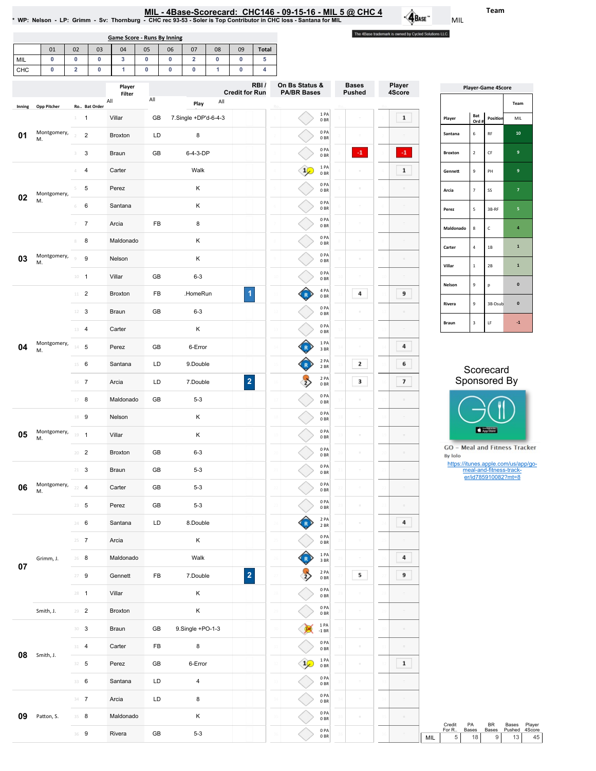MIL

MIL - 4Base-Scorecard: CHC146 - 09-15-16 - MIL 5 @ CHC 4 السبب MIL - 4Base-Scorecard: CHC146 - 09-15-16<br>WP: Nelson - LP: Grimm - Sv: Thornburg - CHC rec 93-53 - Soler is Top Contributor in CHC loss - Santana for MIL

The 4Base trademark is owned by Cycled Solutions LLC.

 $\hat{\mathbf{A}}_{\text{Base}}$ 

|    |    |    |    | Game Score - Runs By Inning |    |    |       |
|----|----|----|----|-----------------------------|----|----|-------|
| 01 | 02 | 03 | 04 | 05                          | 06 | 08 | Total |
|    |    |    |    |                             |    |    |       |

| MIL      | $\mathbf 0$        | $\bf{0}$       |                  | $\bf{0}$     | $\mathbf{3}$           | $\bf{0}$ | $\bf{0}$  | $\overline{\mathbf{2}}$ | $\mathbf 0$ | $\mathbf 0$                       | 5                    |                                      |                           |                               |                          |                                       |                           |                                                |                                             |
|----------|--------------------|----------------|------------------|--------------|------------------------|----------|-----------|-------------------------|-------------|-----------------------------------|----------------------|--------------------------------------|---------------------------|-------------------------------|--------------------------|---------------------------------------|---------------------------|------------------------------------------------|---------------------------------------------|
| CHC      | $\pmb{0}$          | $\overline{2}$ |                  | $\bf{0}$     | $\mathbf{1}$<br>Player | $\bf{0}$ | $\pmb{0}$ | $\mathbf 0$             | 1           | $\bf{0}$<br><b>Credit for Run</b> | 4<br>RBI/            | On Bs Status &<br><b>PA/BR Bases</b> |                           | <b>Bases</b><br><b>Pushed</b> | Player<br>4Score         |                                       | <b>Player-Game 4Score</b> |                                                |                                             |
| Inning   | <b>Opp Pitcher</b> |                |                  | Ro Bat Order | Filter<br>All          | All      |           | Play                    | All         |                                   |                      |                                      |                           |                               |                          |                                       |                           |                                                | Team                                        |
|          |                    |                | $1 \quad 1$      |              | Villar                 |          | GB        | 7.Single +DP'd-6-4-3    |             |                                   |                      |                                      | 1 PA<br>0BR               |                               | $\mathbf{1}$             | Player                                | Bat<br>Ord #              | Position                                       | MIL                                         |
| 01       | Montgomery,<br>M.  |                | $\overline{2}$   |              | <b>Broxton</b>         |          | LD        | 8                       |             |                                   |                      |                                      | 0PA<br>0BR                |                               |                          | Santana                               | $\,$ 6                    | $\mathsf{RF}$                                  | ${\bf 10}$                                  |
|          |                    | 3              | 3                |              | Braun                  |          | GB        | 6-4-3-DP                |             |                                   |                      |                                      | 0PA<br>0BR                | $\cdot 1$                     | $\cdot 1$                | Broxton                               | $\mathbf{2}$              | $\mathsf{CF}$                                  | 9                                           |
|          |                    | 4              | 4                |              | Carter                 |          |           | Walk                    |             |                                   |                      | $\frac{1}{2}$                        | 1 PA<br>0 <sub>BR</sub>   |                               | $\mathbf{1}$             | Gennett                               | $\,9$                     | PH                                             | 9                                           |
|          | Montgomery,        | 5              | 5                |              | Perez                  |          |           | Κ                       |             |                                   |                      |                                      | 0PA<br>0 <sub>BR</sub>    | $=$                           |                          | Arcia                                 | $\overline{7}$            | SS                                             | $\mathbf{7}$                                |
| 02       | M.                 | 6              | 6                |              | Santana                |          |           | Κ                       |             |                                   |                      |                                      | 0PA<br>0BR                | $=$                           |                          | Perez                                 | $\sqrt{5}$                | 3B-RF                                          | $\mathbf S$                                 |
|          |                    | 7              | $\overline{7}$   |              | Arcia                  |          | FB        | 8                       |             |                                   |                      |                                      | 0PA<br>0BR                | $\equiv$                      |                          | Maldonado                             | $\bf8$                    | $\mathsf{C}$                                   | $\blacktriangleleft$                        |
| 03<br>M. |                    | 8              | 8                |              | Maldonado              |          |           | Κ                       |             |                                   |                      |                                      | 0PA<br>0BR                | $\equiv$                      |                          | Carter                                | $\sqrt{4}$                | $1\mathrm{B}$                                  | $\mathbf 1$                                 |
|          | Montgomery,        | $\Box$         | $\boldsymbol{9}$ |              | Nelson                 |          |           | К                       |             |                                   |                      |                                      | 0PA<br>0BR                | $\equiv$                      |                          | Villar                                | $\,$ 1                    | $2\mathsf{B}$                                  | $\mathbf 1$                                 |
|          |                    |                | $10 - 1$         |              | Villar                 |          | GB        | $6 - 3$                 |             |                                   |                      |                                      | 0PA<br>0BR                |                               |                          |                                       | $\boldsymbol{9}$          |                                                | $\mathbf 0$                                 |
|          |                    |                | $11 - 2$         |              | <b>Broxton</b>         |          | FB        | .HomeRun                |             |                                   | $\blacktriangleleft$ | $\mathbf R$                          | 4 PA<br>0BR               | 4                             | 9                        | Nelson                                |                           | p                                              |                                             |
|          |                    |                | $12 - 3$         |              | Braun                  |          | GB        | $6 - 3$                 |             |                                   |                      |                                      | 0PA<br>0 <sub>BR</sub>    |                               |                          | Rivera                                | $\,9$                     | 3B-Dsub                                        | $\pmb{0}$                                   |
|          | Montgomery,<br>M.  |                | 13 4             |              | Carter                 |          |           | Κ                       |             |                                   |                      |                                      | 0PA<br>0BR                | $\equiv$                      |                          | Braun                                 | $\sqrt{3}$                | LF                                             | $-1$                                        |
| 04       |                    |                | $14$ 5           |              | Perez                  |          | GB        | 6-Error                 |             |                                   |                      | $\mathbb{R}$                         | 1 PA<br>3BR               | $\equiv$                      | 4                        |                                       |                           |                                                |                                             |
|          |                    |                | $15 \t 6$        |              | Santana                |          | LD        | 9.Double                |             |                                   |                      | B                                    | 2 PA<br>2 BR              | 2                             | 6                        |                                       |                           | Scorecard                                      |                                             |
|          |                    |                | $16 - 7$         |              | Arcia                  |          | LD        | 7.Double                |             |                                   | $\overline{2}$       | $\rightarrow$                        | 2 PA<br>0BR               | 3                             | $\overline{\phantom{a}}$ |                                       |                           | Sponsored By                                   |                                             |
|          |                    |                | $17 - 8$         |              | Maldonado              |          | GB        | $5 - 3$                 |             |                                   |                      |                                      | 0PA<br>0BR                |                               |                          |                                       |                           |                                                |                                             |
|          |                    |                | 18 9             |              | Nelson                 |          |           | Κ                       |             |                                   |                      |                                      | 0PA<br>0BR                | $\equiv$                      |                          |                                       |                           |                                                |                                             |
| 05       | Montgomery,<br>M.  |                | $19 - 1$         |              | Villar                 |          |           | Κ                       |             |                                   |                      |                                      | 0PA<br>0BR                | $\equiv$                      |                          |                                       |                           | <b>App Store</b>                               |                                             |
|          |                    |                | $20$ <b>2</b>    |              | <b>Broxton</b>         |          | GB        | $6 - 3$                 |             |                                   |                      |                                      | 0PA<br>0B                 | $\equiv$                      |                          | By Iolo                               |                           |                                                | GO - Meal and Fitness Tracker               |
|          |                    |                | $21 - 3$         |              | Braun                  |          | GB        | $5 - 3$                 |             |                                   |                      |                                      | 0PA<br>0BR                | $\equiv$                      |                          |                                       |                           | meal-and-fitness-track-<br>er/id785910082?mt=8 | https://itunes.apple.com/us/app/go-         |
| 06       | Montgomery,<br>М.  |                | $22 - 4$         |              | Carter                 |          | GB        | $5 - 3$                 |             |                                   |                      |                                      | 0PA<br>0B                 |                               |                          |                                       |                           |                                                |                                             |
|          |                    |                | $23 \t 5$        |              | Perez                  |          | GB        | $5 - 3$                 |             |                                   |                      |                                      | $0$ PA<br>0 <sub>BR</sub> | $\equiv$                      |                          |                                       |                           |                                                |                                             |
|          |                    |                | $24 - 6$         |              | Santana                |          | LD        | 8.Double                |             |                                   |                      | $\mathbf R$                          | 2 PA<br>2 BR              | $\equiv$                      | 4                        |                                       |                           |                                                |                                             |
|          |                    |                | $25 \t 7$        |              | Arcia                  |          |           | Κ                       |             |                                   |                      |                                      | 0PA<br>0 <sub>BR</sub>    | $\equiv$                      |                          |                                       |                           |                                                |                                             |
|          | Grimm, J.          |                | $26 - 8$         |              | Maldonado              |          |           | Walk                    |             |                                   |                      | $\mathbf R$                          | 1 PA<br>3 BR              | $\equiv$                      | 4                        |                                       |                           |                                                |                                             |
| 07       |                    |                | $27 - 9$         |              | Gennett                |          | FB        | 7.Double                |             |                                   | $\vert$ 2            | $\rightarrow$                        | 2 PA<br>0 <sub>BR</sub>   | 5                             | 9                        |                                       |                           |                                                |                                             |
|          |                    |                | $28 - 1$         |              | Villar                 |          |           | Κ                       |             |                                   |                      |                                      | $0$ PA<br>0 <sub>BR</sub> | $\equiv$                      |                          |                                       |                           |                                                |                                             |
|          | Smith, J.          |                | $29 - 2$         |              | Broxton                |          |           | Κ                       |             |                                   |                      |                                      | 0PA<br>0 <sub>BR</sub>    | $\equiv$                      |                          |                                       |                           |                                                |                                             |
|          |                    |                | $30-3$           |              | Braun                  |          | GB        | 9.Single +PO-1-3        |             |                                   |                      |                                      | 1 PA<br>$-1 BR$           | $\equiv$                      |                          |                                       |                           |                                                |                                             |
|          |                    |                | $31 - 4$         |              | Carter                 |          | FB        | 8                       |             |                                   |                      |                                      | 0PA<br>0 <sub>BR</sub>    | $\equiv$                      |                          |                                       |                           |                                                |                                             |
| 08       | Smith, J.          |                | $32 - 5$         |              | Perez                  |          | GB        | 6-Error                 |             |                                   |                      | $\frac{1}{2}$                        | 1PA<br>0BR                | $\equiv$                      | $\mathbf{1}$             |                                       |                           |                                                |                                             |
|          |                    |                | 33 6             |              | Santana                |          | LD        | $\overline{4}$          |             |                                   |                      |                                      | 0PA<br>0 <sub>BR</sub>    | $\equiv$                      |                          |                                       |                           |                                                |                                             |
|          |                    |                | $34 \t7$         |              | Arcia                  |          | LD        | 8                       |             |                                   |                      |                                      | 0PA<br>0 <sub>BR</sub>    | $\equiv$                      |                          |                                       |                           |                                                |                                             |
| 09       | Patton, S.         |                | $35 - 8$         |              | Maldonado              |          |           | К                       |             |                                   |                      |                                      | 0PA<br>0 <sub>BR</sub>    | $\equiv$                      |                          |                                       |                           |                                                |                                             |
|          |                    |                | 36 9             |              | Rivera                 |          | GB        | $5-3$                   |             |                                   |                      |                                      | 0PA<br>0 B R              |                               |                          | Credit<br>For R<br>$\,$ 5 $\,$<br>MIL | PA<br>Bases<br>18         | BR<br>Bases<br>$9\,$                           | Bases<br>Player<br>4Score<br>Pushed<br>$13$ |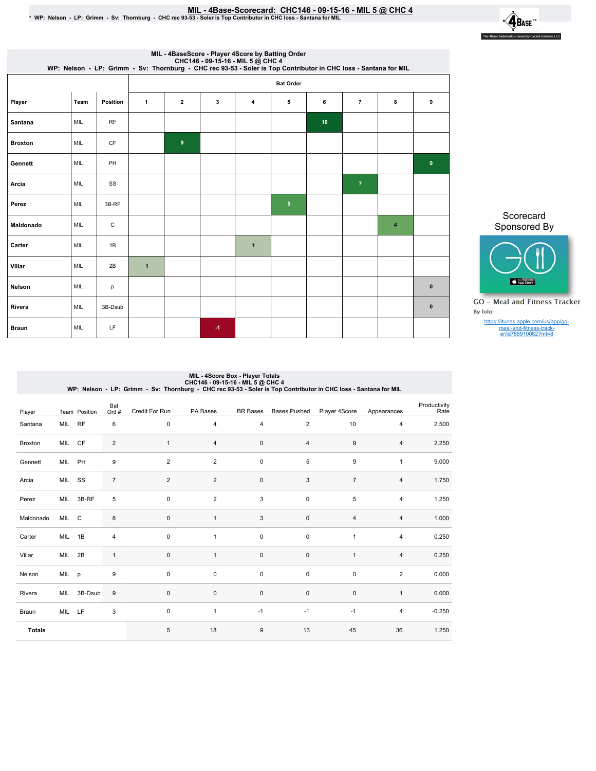## MIL - 4Base-Scorecard: CHC146 - 09-15-16 - MIL 5 @ CHC 4 في MIL - 4Base-Scorecard: CHC146 - 09-15-16<br>\* WP: Nelson - LP: Grimm - Sv: Thornburg - CHC rec 93-53 - Soler is Top Contributor in CHC loss - Santana for MIL

|                | MIL - 4BaseScore - Player 4Score by Batting Order<br>CHC146 - 09-15-16 - MIL 5 @ CHC 4<br>WP: Nelson - LP: Grimm - Sv: Thornburg - CHC rec 93-53 - Soler is Top Contributor in CHC loss - Santana for MIL |                 |                  |              |   |              |                 |    |                |   |              |  |  |  |
|----------------|-----------------------------------------------------------------------------------------------------------------------------------------------------------------------------------------------------------|-----------------|------------------|--------------|---|--------------|-----------------|----|----------------|---|--------------|--|--|--|
|                |                                                                                                                                                                                                           |                 | <b>Bat Order</b> |              |   |              |                 |    |                |   |              |  |  |  |
| Player         | Team                                                                                                                                                                                                      | <b>Position</b> | $\mathbf{1}$     | $\mathbf{2}$ | 3 | 4            | 5               | 6  | $\overline{7}$ | 8 | 9            |  |  |  |
| Santana        | MIL                                                                                                                                                                                                       | <b>RF</b>       |                  |              |   |              |                 | 10 |                |   |              |  |  |  |
| <b>Broxton</b> | <b>MIL</b>                                                                                                                                                                                                | <b>CF</b>       |                  | 9            |   |              |                 |    |                |   |              |  |  |  |
| Gennett        | <b>MIL</b>                                                                                                                                                                                                | PH              |                  |              |   |              |                 |    |                |   | $9$          |  |  |  |
| Arcia          | MIL                                                                                                                                                                                                       | SS              |                  |              |   |              |                 |    | $\overline{7}$ |   |              |  |  |  |
| Perez          | MIL                                                                                                                                                                                                       | 3B-RF           |                  |              |   |              | $5\phantom{.0}$ |    |                |   |              |  |  |  |
| Maldonado      | MIL                                                                                                                                                                                                       | $\mathsf C$     |                  |              |   |              |                 |    |                | 4 |              |  |  |  |
| Carter         | MIL                                                                                                                                                                                                       | 1B              |                  |              |   | $\mathbf{1}$ |                 |    |                |   |              |  |  |  |
| Villar         | MIL                                                                                                                                                                                                       | 2B              | $\mathbf{1}$     |              |   |              |                 |    |                |   |              |  |  |  |
| Nelson         | MIL                                                                                                                                                                                                       | р               |                  |              |   |              |                 |    |                |   | $\mathbf{0}$ |  |  |  |
| Rivera         | MIL                                                                                                                                                                                                       | 3B-Dsub         |                  |              |   |              |                 |    |                |   | $\pmb{0}$    |  |  |  |
| <b>Braun</b>   | MIL                                                                                                                                                                                                       | LF              |                  |              | 4 |              |                 |    |                |   |              |  |  |  |

Scorecard Sponsored By



**GO** - Meal and Fitness Tracker By Iolo

https://itunes.apple.com/us/app/go-meal-and-fitness-track-er/id785910082?mt=8

# MIL - 4Score Box - Player Totals<br>CHC146 - 09-15-16<br>WP: Nelson - LP: Grimm - Sv: Thornburg - CHC rec 93-53 - Soler is Top Contributor in CHC loss - Santana for MIL

| Player        |        | Team Position | Bat<br>Ord #   | Credit For Run | PA Bases                | <b>BR Bases</b>         | <b>Bases Pushed</b> | Player 4Score    | Appearances    | Productivity<br>Rate |
|---------------|--------|---------------|----------------|----------------|-------------------------|-------------------------|---------------------|------------------|----------------|----------------------|
| Santana       | MIL RF |               | 6              | $\mathbf 0$    | $\overline{\mathbf{4}}$ | $\overline{\mathbf{4}}$ | $\overline{2}$      | 10               | $\overline{4}$ | 2.500                |
| Broxton       | MIL CF |               | $\overline{c}$ | $\mathbf{1}$   | $\overline{4}$          | 0                       | 4                   | $\boldsymbol{9}$ | $\overline{4}$ | 2.250                |
| Gennett       | MIL    | PH            | 9              | $\overline{2}$ | $\overline{2}$          | $\pmb{0}$               | 5                   | 9                | $\mathbf{1}$   | 9.000                |
| Arcia         | MIL    | SS            | $\overline{7}$ | $\overline{2}$ | $\overline{2}$          | $\pmb{0}$               | 3                   | $\overline{7}$   | $\sqrt{4}$     | 1.750                |
| Perez         | MIL    | 3B-RF         | 5              | 0              | $\overline{2}$          | 3                       | $\pmb{0}$           | 5                | $\overline{4}$ | 1.250                |
| Maldonado     | MIL C  |               | 8              | 0              | $\mathbf{1}$            | 3                       | $\pmb{0}$           | 4                | $\overline{4}$ | 1.000                |
| Carter        | MIL    | 1B            | 4              | 0              | $\mathbf{1}$            | $\pmb{0}$               | 0                   | $\mathbf{1}$     | $\overline{4}$ | 0.250                |
| Villar        | MIL    | 2B            | $\mathbf{1}$   | $\mathbf 0$    | $\mathbf{1}$            | $\pmb{0}$               | $\pmb{0}$           | $\mathbf{1}$     | $\overline{4}$ | 0.250                |
| Nelson        | MIL p  |               | 9              | 0              | $\pmb{0}$               | $\pmb{0}$               | 0                   | $\pmb{0}$        | $\overline{2}$ | 0.000                |
| Rivera        | MIL    | 3B-Dsub       | $9\,$          | $\mathbf 0$    | $\pmb{0}$               | 0                       | $\pmb{0}$           | $\pmb{0}$        | $\mathbf{1}$   | 0.000                |
| Braun         | MIL LF |               | $\mathbf{3}$   | 0              | $\mathbf{1}$            | $-1$                    | $-1$                | $-1$             | $\overline{4}$ | $-0.250$             |
| <b>Totals</b> |        |               |                | 5              | 18                      | 9                       | 13                  | 45               | 36             | 1.250                |

 $\cdot \mathbf{Q}_{\text{Base}}$ The 4Base trademark is ow ed by Cycled Solutions LLC.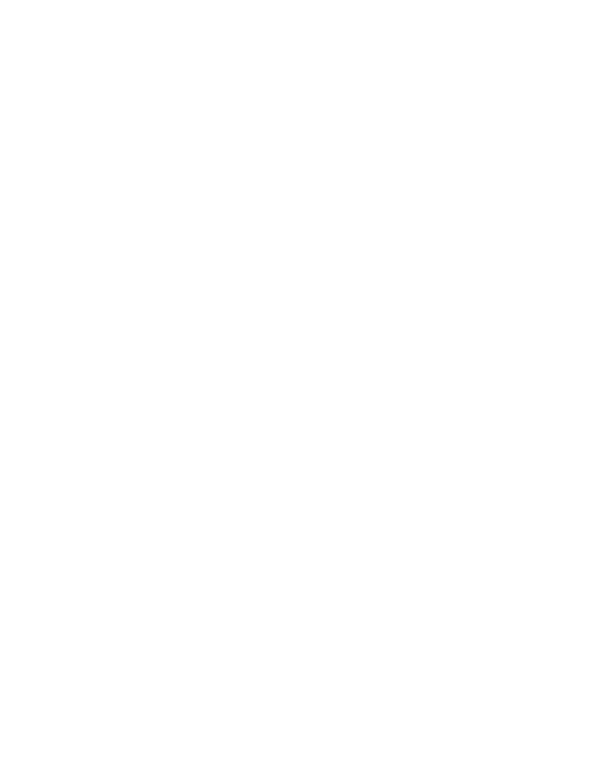|   |         |                         |                         |                      | DVH 6 FRUHFDUG<br>&+&<br>O<br>$v_{\rm A}$                     |  |  |
|---|---------|-------------------------|-------------------------|----------------------|---------------------------------------------------------------|--|--|
| 3 | 1 HOVRO | 13 <sup>7</sup><br>UP F | <b>7KRIDEXIJI</b><br>6Y | $\alpha + \alpha$ UT | /7RS&ROMMEXWRUIO& + & 0RW<br>6DOMMODIRUO /<br><b>DRUTLILV</b> |  |  |

 $\mathbb{R}^2$ 

|            |              |                  | $8 + 8$   | 0,/ %DVH6FRUH 300\HU 6FRUHE\%DWMQJ2UGHU<br>: 3 1 HOVRQ /3 * ULP P 6Y 7 KRUQEXUJ & + & UHF 6ROHULY RS&RQAMEXARULQ& + & ORW 6DQAMQD IRU0, / | $0, /$ # $8 + 8$ |  |  |  |  |  |  |
|------------|--------------|------------------|-----------|-------------------------------------------------------------------------------------------------------------------------------------------|------------------|--|--|--|--|--|--|
|            |              |                  | %DW2 UGHU |                                                                                                                                           |                  |  |  |  |  |  |  |
| 300 HU     | 7HDP         | 3 RVIMRQ         |           |                                                                                                                                           |                  |  |  |  |  |  |  |
| 6DQMQD     | $0 \sqrt{ }$ | 5)               |           |                                                                                                                                           |                  |  |  |  |  |  |  |
| %UR MRQ    | $0 \sqrt{ }$ | &)               |           |                                                                                                                                           |                  |  |  |  |  |  |  |
| * HQQHWV   | 0,           | $3+$             |           |                                                                                                                                           |                  |  |  |  |  |  |  |
| \$UFID     | 0,           | 66               |           |                                                                                                                                           |                  |  |  |  |  |  |  |
| 3HUH       | $0 \sqrt{ }$ | %5)              |           |                                                                                                                                           |                  |  |  |  |  |  |  |
| 0 DOGRODGR | $0 \sqrt{ }$ | &                |           |                                                                                                                                           |                  |  |  |  |  |  |  |
| &DUMU      | 0,           | $\%$             |           |                                                                                                                                           |                  |  |  |  |  |  |  |
| $91$ $61$  | 0,           | %                |           |                                                                                                                                           |                  |  |  |  |  |  |  |
| 1 HOVRQ    | 0,           | s                |           |                                                                                                                                           |                  |  |  |  |  |  |  |
| 5 LYHLD    | $0 \sqrt{ }$ | %' VXE           |           |                                                                                                                                           |                  |  |  |  |  |  |  |
| %LDXQ      | $0 \sqrt{ }$ | $\left( \right)$ |           |                                                                                                                                           |                  |  |  |  |  |  |  |

## 6 FRUHFDLG 6 SRQVRUHG%

<u>KWOSY WACHYDSSORIERP XYDSSJR</u><br>PHDCDQGILWOHWWDEN<br><u>HULG "PW</u>

|                |              |               |                        |                 | $0 \sqrt{2}$<br>$8 + 8$ | 6 FRUH%R[ 300\HU7RW00Y<br>$0, /$ # $8 + 8$ | : 3 1 HOVRQ /3 * ULP P 6Y 7 KRUQEXUJ & + & UHF 6ROHULY RS& ROWLEXWRULQ & + & ORV 6DOWDODIRU0, / |                         |              |                    |
|----------------|--------------|---------------|------------------------|-----------------|-------------------------|--------------------------------------------|-------------------------------------------------------------------------------------------------|-------------------------|--------------|--------------------|
| 30 NU          |              | 7HDP 3RVMLIRQ | %DW<br>$2 \, \text{L}$ | & UHGLV) RU5 XQ | 3\$ %DMHV               | %5 %DVHV                                   |                                                                                                 | %DVHV3XVKHG 300\HU6FRUH | \$SSHDUDGFHV | 3 URGXFWYUW<br>5DM |
| 6DQMQD         | 0, / 5)      |               |                        |                 |                         |                                            |                                                                                                 |                         |              |                    |
| <b>%URIVRO</b> | 0, / 8       |               |                        |                 |                         |                                            |                                                                                                 |                         |              |                    |
| * HOCHWW       | $0/3+$       |               |                        |                 |                         |                                            |                                                                                                 |                         |              |                    |
| \$UFID         | 0/66         |               |                        |                 |                         |                                            |                                                                                                 |                         |              |                    |
| 3HUH           | 0, /         | %5)           |                        |                 |                         |                                            |                                                                                                 |                         |              |                    |
| 0 DORODGR      | 0/8          |               |                        |                 |                         |                                            |                                                                                                 |                         |              |                    |
| & DUMU         | $0 \sqrt{ }$ | $\%$          |                        |                 |                         |                                            |                                                                                                 |                         |              |                    |
| $91$ $0$ $0$   | $0 \sqrt{ }$ | %             |                        |                 |                         |                                            |                                                                                                 |                         |              |                    |
| 1 HORQ         | 0/ S         |               |                        |                 |                         |                                            |                                                                                                 |                         |              |                    |
| 5 LYHUD        |              | 0 ./ %' VXE   |                        |                 |                         |                                            |                                                                                                 |                         |              |                    |
| %UDXQ          | 0, / /       |               |                        |                 |                         |                                            |                                                                                                 |                         |              |                    |
| 7RWDOV         |              |               |                        |                 |                         |                                            |                                                                                                 |                         |              |                    |
|                |              |               |                        |                 |                         |                                            |                                                                                                 |                         |              |                    |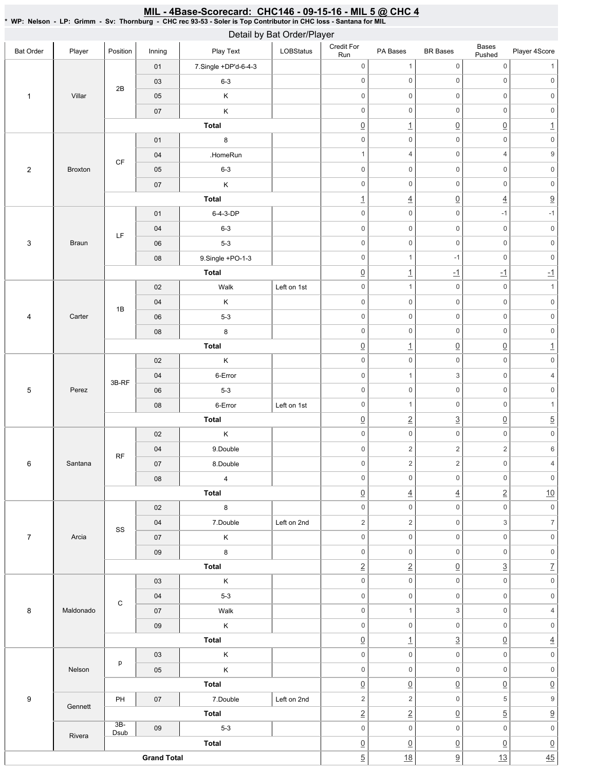#### Bat Order | Player | Position | Inning | Play Text | LOBStatus Credit For Run PA Bases BR Bases Bases Pushed Player 4Score 1 Villar 2B 01 7.Single +DP'd-6-4-3 03 6-3 05 K 07 K Total 2 Broxton CF 01 8 04 | .HomeRun 05 6-3 07 K Total 3 Braun LF 01 6-4-3-DP 04 6-3 06 5-3 08 9.Single +PO-1-3 Total 4 Carter 1B 02 | Walk Left on 1st 04 K 06 5-3 08 8 Total 5 Perez 3B-RF 02 K 04 6-Error 06 5-3 08 | 6-Error | Left on 1st Total 6 Santana RF 02 K 04 9.Double 07 8.Double 08 4 Total 7 Arcia SS 02 8 04 | 7.Double | Left on 2nd 07 K 09 8 Total 8 Maldonado  $\mathbf C$ 03 K 04 5-3 07 | Walk 09 K Total 9 Nelson p 03 K 05 K Total Gennett PH 07 7.Double Left on 2nd Total Rivera 3B-Dsub 09 5-3 Total **Grand Total** 0 0 1 0 0 0 0 0 0 0 0 0 0 0 0 0 0 0  $\boxed{0}$  1  $\boxed{0}$   $\boxed{0}$  1 0 0 0 0 0 1 4 0 4 9 0 0 0 0 0 0 0 0 0 0  $\frac{1}{1}$   $\frac{4}{1}$   $\frac{0}{1}$   $\frac{4}{1}$   $\frac{9}{1}$ 0 0 -1 -1 0 0 0 0 0 0 0 0 0 0 0 1 -1 0 0  $\boxed{0}$   $\boxed{1}$   $\boxed{-1}$   $\boxed{-1}$   $\boxed{-1}$ 0 0 1 0 0 0 0 0 0 0 0 0 0 0 0 0 0 0  $\boxed{0}$  1  $\boxed{0}$   $\boxed{0}$  1 0 0 0 0 0 0 1 3 0 4 0 0 0 0 0 0 0 1  $\begin{array}{ccc} \boxed{0} & \boxed{2} & \boxed{3} & \boxed{0} & \boxed{5} \end{array}$ 0 0 0 0 0  $0$  2 2 2 6 0 2 2 0 4 0 0 0 0 0  $\boxed{0}$   $\boxed{4}$   $\boxed{2}$   $\boxed{10}$ 0 0 0 0 0 2 0 3 7 0 0 0 0 0 0 0 0 0 0  $\boxed{2}$   $\boxed{0}$   $\boxed{3}$   $\boxed{7}$ 0 0 0 0 0 0 0 0 0 0 0 1 3 0 4 0 0 0 0 0  $\begin{array}{ccc} \boxed{0} & 1 & 3 & 0 & 4 \end{array}$ 0 0 0 0 0 0 0 0 0 0  $\overline{0}$   $\overline{0}$   $\overline{0}$   $\overline{0}$   $\overline{0}$   $\overline{0}$   $\overline{0}$ 2  $2$  0 5 9  $\boxed{2}$   $\boxed{0}$   $\boxed{5}$   $\boxed{9}$ 0 0 0 0 0  $\overline{0}$   $\overline{0}$   $\overline{0}$   $\overline{0}$   $\overline{0}$   $\overline{0}$   $\overline{0}$  $\frac{5}{9}$  18 9 13 13 15 Detail by Bat Order/Player

## MIL - 4Base-Scorecard: CHC146 - 09-15-16 - MIL 5 @ CHC 4

\* WP: Nelson - LP: Grimm - Sv: Thornburg - CHC rec 93-53 - Soler is Top Contributor in CHC loss - Santana for MIL